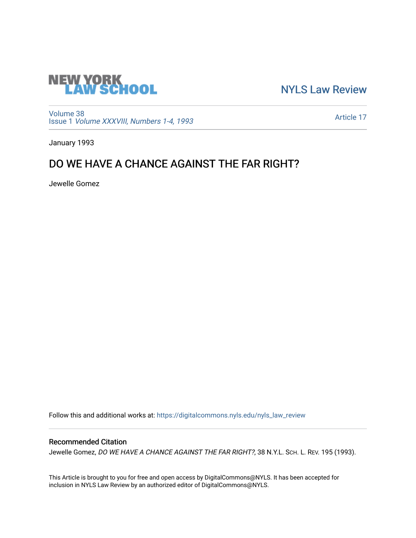

[NYLS Law Review](https://digitalcommons.nyls.edu/nyls_law_review) 

[Volume 38](https://digitalcommons.nyls.edu/nyls_law_review/vol38) Issue 1 [Volume XXXVIII, Numbers 1-4, 1993](https://digitalcommons.nyls.edu/nyls_law_review/vol38/iss1)

[Article 17](https://digitalcommons.nyls.edu/nyls_law_review/vol38/iss1/17) 

January 1993

# DO WE HAVE A CHANCE AGAINST THE FAR RIGHT?

Jewelle Gomez

Follow this and additional works at: [https://digitalcommons.nyls.edu/nyls\\_law\\_review](https://digitalcommons.nyls.edu/nyls_law_review?utm_source=digitalcommons.nyls.edu%2Fnyls_law_review%2Fvol38%2Fiss1%2F17&utm_medium=PDF&utm_campaign=PDFCoverPages) 

## Recommended Citation

Jewelle Gomez, DO WE HAVE A CHANCE AGAINST THE FAR RIGHT?, 38 N.Y.L. SCH. L. REV. 195 (1993).

This Article is brought to you for free and open access by DigitalCommons@NYLS. It has been accepted for inclusion in NYLS Law Review by an authorized editor of DigitalCommons@NYLS.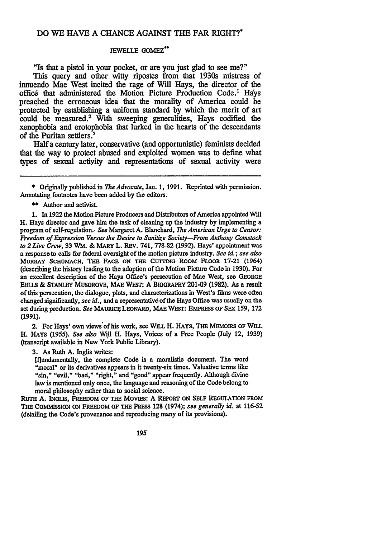### **DO** WE **HAVE A CHANCE AGAINST THE** FAR RIGHT?\*

#### JEWELLE GOMEZ\*\*

"Is that a pistol in your pocket, or are you just glad to see me?"

This query and other witty ripostes from that 1930s mistress of innuendo Mae West incited the rage of **Will** Hays, **the** director of the office that administered the Motion Picture Production Code.<sup>1</sup> Hays preached the erroneous idea that the morality of America could be protected **by** establishing a uniform standard **by** which the merit of art could be measured.2 With sweeping generalities, Hays codified the xenophobia and erotophobia that lurked in the hearts of the descendants of the Puritan settlers.3

**Halfa** century later, conservative (and opportunistic) feminists decided that the way to protect abused and exploited women was to define what **types** of sexual activity and representations of sexual activity were

\* Originally published in *The Advocate*, Jan. 1, 1991. Reprinted with permission. Annotating footnotes have been added **by** the editors.

**\*\*** Author and activist.

**1.** In **1922** the Motion Picture Producers and Distributors of America appointed Will H. Hays director and gave him the task of cleaning up the industry **by** implementing a program of self-regulation.- See Margaret **A.** Blanchard, *The American Urge to Censor: Freedom of Expression Versus the Desire to Sanitize Society-From Anthony Comstock to 2 Live Crew,* 33 WM. **& MARY** L. REv. **741,778-82 (1992).** Hays' appointment was a response to calls for federal oversight of the motion picture industry. *See id.; see also* MURRAY **ScHuMACH, THE** FACE **ON THE** CurING. ROOM FLOOR **17-21** (1964) (describing the history leading to the adoption of the Motion Picture Code in 1930). For an excellent description of the Hays Office's persecution of Mac West, see GEORGE **EBLLS & STANLEY** MUSOROVE, MAE WESr: A BIOORAPHY **201-09 (1982). As** a result of this persecution, the dialogue, plots, and characterizations in West's films were often changed significantly, *see id.,* and a representative of the Hays Office was usually on the set during production. See MAURICE LEONARD, **MAE** WEST: EMPRESS OF **SEx 159, 172 (1991).**

2. For Hays' own views'of his work, see WILL H. HAYS, **THE** MEMOIRS OF WLL H. HAYS *(1955). See also* Will H. Hays, Voices of a Free People (July 12, **1939)** (transcript available in New York Public Library).

**3.** As Ruth **A.** Inglis writes:

[flundamentally, the complete Code is a moralistic document. The word "moral" or its derivatives appears in it twenty-six times. Valuative terms like "sin," "evil," "bad," "right," and "good" appear frequently. Although divine law is mentioned only once, the language and reasoning of the Code belong to moral philosophy rather **than** to social science.

**RUTH A.** INGLIS, FREEDOM OF THE Movms: A REPORT ON **SELF** REGULATION **FROM THE COMMISSION ON FREEDOM OF THE** PRESS **128** (1974); *see generally id.* at **116-52** (detailing the Code's provenance and reproducing many of its provisions).

195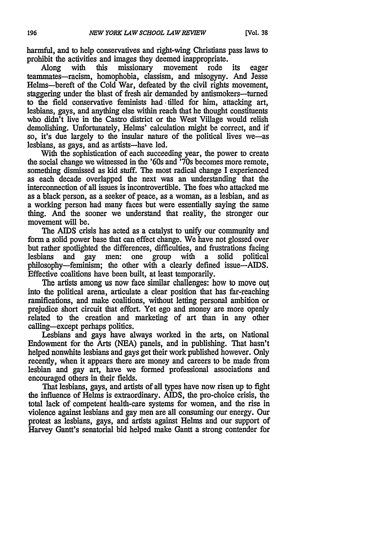harmful, and to help conservatives and right-wing Christians pass laws to prohibit the activities and images they deemed inappropriate.<br>Along with this missionary movement rode

Along with this missionary movement rode its eager teammates-racism, homophobia, classism, and misogyny. And Jesse Helms-bereft of the Cold War, defeated **by** the civil rights movement, staggering under the blast of fresh air demanded by antismokers-turned to the field conservative feminists had -tilled for him, attacking art, lesbians, gays, and anything else within reach that he thought constituents who didn't live in the Castro district or the West Village would relish demolishing. Unfortunately, Helms' calculation might be correct, and if so, it's due largely to the insular nature of the political lives we-as lesbians, as gays, and as artists-have led.

With the sophistication of each succeeding year, the power to create the social change we witnessed in the '60s and '70s becomes more remote, something dismissed as kid stuff. The most radical change I experienced as each decade overlapped the next was an understanding that the interconnection of all issues is incontrovertible. The foes who attacked me as a black person, as a seeker of peace, as a woman, as a lesbian, and as a working person had many faces but were essentially saying the same thing. And the sooner we understand that reality, the stronger our movement will be.

The AIDS crisis has acted as a catalyst to unify our community and form a solid power base that can effect change. We have not glossed over but rather spotlighted the differences, difficulties, and frustrations facing lesbians and gay men: one group with a solid political philosophy-feminism; the other with a clearly defined issue-AIDS. Effective coalitions have been built, at least temporarily.

The artists among us now face similar challenges: how to move out into the political arena, articulate a clear position that has far-reaching ramifications, and make coalitions, without letting personal ambition or prejudice short circuit that effort. Yet ego and money are more openly related to the creation and marketing of art than in any other calling-except perhaps politics.

Lesbians and gays have always worked in the arts, on National Endowment for the Arts (NEA) panels, and in publishing. That hasn't helped nonwhite lesbians and gays get their work published however. Only recently, when it appears there are money and careers to be made from lesbian and gay art, have we formed professional associations and encouraged others in their fields.

That lesbians, gays, and artists of all types have now risen up to fight the influence of Helms is extraordinary. AIDS, the pro-choice crisis, the total lack of competent health-care systems for women, and the rise in violence against lesbians and gay men are all consuming our energy. Our protest as lesbians, gays, and artists against Helms and our support of Harvey Gantt's senatorial bid helped make Gantt a strong contender for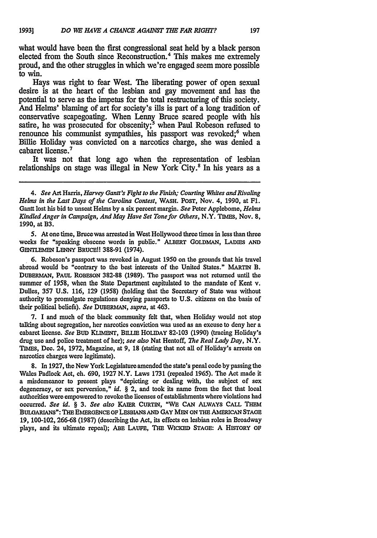what would have been the first congressional seat held **by** a black person elected from the South since Reconstruction. 4 This makes me extremely proud, and the other struggles in which we're engaged seem more possible to win.

Hays was right to fear West. The liberating power of open sexual desire is at the heart of the lesbian and gay movement and has the potential to serve as the impetus for the total restructuring of this society. And Helms' blaming of art for society's ills is part of a long tradition of conservative scapegoating. When Lenny Bruce seared people with his satire, he was prosecuted for obscenity;<sup>5</sup> when Paul Robeson refused to renounce his communist sympathies, his passport was revoked;<sup>6</sup> when Billie Holiday was convicted on a narcotics charge, she was denied a cabaret license.<sup>7</sup>

It was not that long ago when the representation of lesbian relationships on stage was illegal in New York City.<sup>8</sup> In his years as a

4. See Art Harris, *Harvey Gantt's Fight to the Finish; Courting Whites and Rivaling Helms in the Last Days of the Carolina Contest,* WASH. POST, Nov. 4, 1990, at Fl. Gantt lost his bid to unseat Helms by a six percent margin. *See* Peter Applebome, *Helms Kindled Anger in Campaign, And May Have Set Tone for Others,* N.Y. TIMES, Nov. **8,** 1990, at B3.

5. At one time, Brucewas arrested in West Hollywood three times in less than three weeks for "speaking obscene words in public." ALBERT GOLDMAN, LADIES **AND** GENTLEMEN LENNY BRUCE!! 388-91 (1974).

6. Robeson's passport was revoked in August 1950 on the grounds that his travel abroad would be "contrary to the best interests of the United States." MARTIN B. DUBEmiMAN, PAUL ROBESON **382-88** (1989). The passport was not returned until the summer of 1958, when the State Department capitulated to the mandate of Kent v. Dulles, 357 **U.S.** 116, **129** (1958) (holding that the Secretary of State was without authority to promulgate regulations denying passports to **U.S.** citizens on the basis of their political beliefs). *See* DUBERMAN, *supra,* at 463.

7. I and much of the black community felt that, when Holiday would not stop talking about segregation, her narcotics conviction was used as an excuse to deny her a cabaret license. *See* **BUD** KLIMBNT, BILIE HOLIDAY **82-103** (1990) (tracing Holiday's drug use and police treatment of her); *see also* Nat Hentoff, *The Real Lady Day,* N.Y. TIMES, Dec. 24, 1972, Magazine, at 9, **18** (stating that not all of Holiday's arrests on narcotics charges were legitimate).

**8.** In 1927, the New York Legislature amended the state's penal code **by** passing the Wales Padlock Act, ch. 690, 1927 N.Y. Laws 1731 (repealed 1965). The Act made it a misdemeanor to present plays "depicting or dealing with, the subject of sex degeneracy, or sex perversion," *id.* § 2, and took its name from the fact that local authorities were empowered to revoke the licenses of establishments where violations had occurred. *See id. § 3. See also* KAIER CURTIN, "WE CAN ALWAYS CALL THEM BULGARIANS": THE EiMRGENCE **OF** LESBIANS **AND** GAY MEN ON THE **AMERICAN STAGE 19,** 100-102, **266-68 (1987)** (describing the Act, its effects on lesbian roles in Broadway plays, and its ultimate repeal); **ABE** LAUFE, THE WIcKED **STAGE:** A HISTORY OF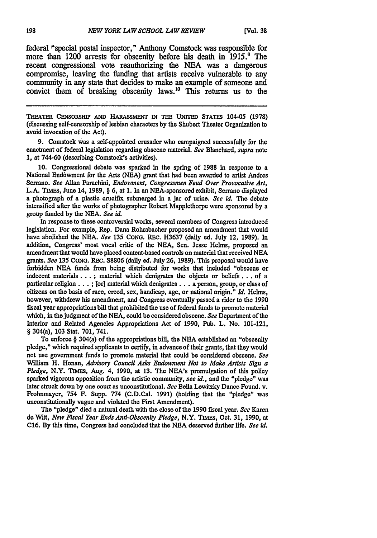federal "special postal inspector," Anthony Comstock was responsible for more than 1200 arrests for obscenity before his death in 1915.<sup>9</sup> The recent congressional vote reauthorizing the **NEA** was a dangerous compromise, leaving the funding that artists receive vulnerable to any community in any state that decides to make an example of someone and convict them of breaking obscenity laws.10 This returns us to the

**THEATER CE'soRsHIP AND HARASSMEN** IN **THE UNITED STATES** 104-05 **(1978)** (discussing self-censorship of lesbian characters **by** the Shubert Theater Organization to avoid invocation of the Act).

**9.** Comstock was a self-appointed crusader who campaigned successfully for the enactment of federal legislation regarding obscene material. *See* Blanchard, *supra* note **1,** at 744-60 (describing Comstock's activities).

**10.** Congressional debate was sparked in the spring of 1988 in response to a National End6wment for the Arts **(NEA)** grant that had been awarded to artist Andres Serrano. *See* Allan Parachini, *Endowment, Congressmen Feud Over Provocative Art,* **L.A. TIMEs,** June 14, **1989,** § **6,** at **1.** In an NEA-sponsored exhibit, Serrano displayed a photograph of a plastic crucifix submerged in a jar of urine. *See* id. The debate intensified after the works of photographer Robert Mapplethorpe were sponsored **by** a group funded **by** the **NEA.** *See id.*

In response to these controversial works, several members of Congress introduced legislation. For example, Rep. Dana Rohrabacher proposed an amendment that would have abolished the **NEA.** *See* **135 CONG.** REC. **H3637** (daily ed. July 12, **1989).** In addition, Congress' most vocal critic of the **NEA,** Sen. Jesse Helms, proposed an amendment that would have placed content-based controls on material that received **NEA** grants. *See* **135** CoNG. REC. **S8806** (daily ed. July **26, 1989).** This proposal would have forbidden **NEA** funds from being distributed for works that included "obscene or indecent materials...; material which denigrates the objects or beliefs.., of a particular **religion... ;** [or] material which **denigrates...** a person, group, or class of citizens on the basis of race, creed, sex, handicap, age, or national origin." *Id.* Helms, however, withdrew his amendment, and Congress eventually passed a rider to the **1990** fiscal year appropriations bill that prohibited the use of federal funds to promote material which, in the judgment of the **NEA,** could **be** considered obscene. *See* Department of the Interior and Related Agencies Appropriations Act of **1990,** Pub. L. No. 101-121, § 304(a), **103** Stat. **701,** 741.

To enforce § 304(a) of the appropriations bill, the **NEA** established an "obscenity pledge," which required applicants to certify, in advanceof their grants, that they would not use government funds to promote material that could **be** considered obscene. *See* William H. Honan, *Advisory Council Asks Endowment Not to Make Artists Sign a Pledge,* N.Y. **TIMS,** Aug. 4, **1990,** at **13.** The NEA's promulgation of this policy sparked vigorous opposition from the artistic community, *see id.,* and the "pledge" was later struck down **by** one court as unconstitutional. *See* Bella Lewitzky Dance Found. v. Frohnmayer, 754 F. Supp. **774** (C.D.Cal. **1991)** (holding that the "pledge" **was** unconstitutionally vague and violated the First Amendment).

The **"pledge"** died a natural death with the close of the **1990** fiscal year. See Karen **de** Witt, *New Fiscal Year Ends Anti-Obscenity Pledge,* N.Y. **TI7ES,** Oct. **31, 1990,** at **C16. By** this time, Congress had concluded that the **NEA** deserved further life. *See id.*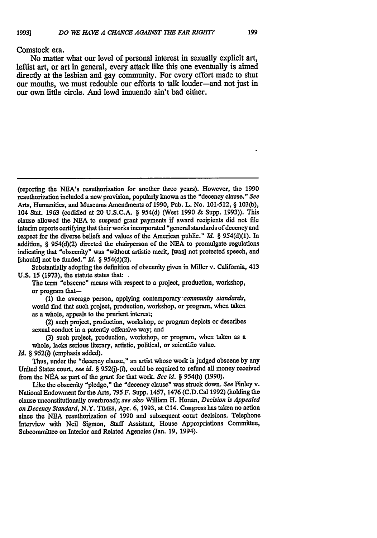#### Comstock era.

No matter what our level of personal interest in sexually explicit art, leftist art, or art in general, every attack like this one eventually is aimed directly at the lesbian and gay community. For every effort made to shut our mouths, we must redouble our efforts to talk louder-and not just in our own little circle. And lewd innuendo ain't bad either.

Substantially adopting the definition of obscenity given in Miller v. California, 413 **U.S. 15 (1973),** the statute states that: **.**

The term "obscene" means with respect to a project, production, workshop, or program that-

**(1)** the average person, applying contemporary -community standards, would find that such project, production, workshop, or program, when taken as a whole, appeals to the prurient interest;

(2) such project, production, workshop, or program depicts or describes sexual conduct in a patently offensive way; and

(3) such project, production, workshop, or program, when taken as a whole, lacks serious literary, artistic, political, or scientific value. *Id.* § **952()** (emphasis added).

Thus, under the "decency clause," an artist whose work is judged obscene by any United States court, see id. § 952(j)-(l), could be required to refund all money received from the **NEA** as part of the grant for that work. *See id.* § 954(h) (1990).

Like the obscenity "pledge," the "decency clause" was struck down. *See* Finley v. National Endowment for the Arts, 795 F. Supp. 1457, 1476 (C.D.Cal **1992)** (holding the clause unconstitutionally overbroad); *see also* William H. Honan, *Decision is Appealed on Decency Standard,* N.Y. **TIMs,** Apr. 6, 1993, at C14. Congress has taken no action since the **NEA** reauthorization of 1990 and subsequent .court decisions. Telephone Interview with Neil Sigmon, Staff Assistant, House Appropriations Committee, Subcommittee on Interior and Related Agencies (Jan. **19,** 1994).

<sup>(</sup>reporting the NEA's reauthorization for another three years). However, the 1990 reauthorization included a new provision, popularly known as the "decency clause." *See* Arts, Humanities, and Museums Amendments of 1990, Pub. L. No. 101-512, § 103(b), 104 Stat. 1963 (codified at 20 U.S.C.A. § **954(d)** (West 1990 **&** Supp. 1993)). This clause allowed the **NEA** to suspend grant payments if award recipients did not file interim reports certifying that their works incorporated "general standards of decency and respect for the diverse beliefs and values of the American public." *Id. §* **954(d)(1).** In addition, § **954(d)(2)** directed the chairperson of the **NEA** to promulgate regulations indicating that "obscenity" was "without artistic merit, [was] not protected speech, and [should] not be funded." *Id.* § **954(d)(2).**